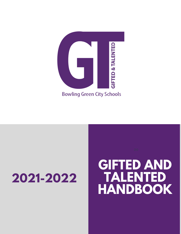

# **2021-2022**

# **GIFTED AND TALENTED HANDBOOK**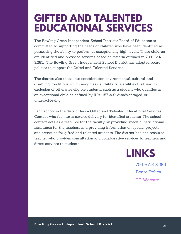### **GIFTED AND TALENTED EDUCATIONAL SERVICES**

The Bowling Green Independent School District's Board of Education is committed to supporting the needs of children who have been identified as possessing the ability to perform at exceptionally high levels. These children are identified and provided services based on criteria outlined in 704 KAR 3:285. The Bowling Green Independent School District has adopted board policies to support the Gifted and Talented Services.

The district also takes into consideration environmental, cultural, and disabling conditions which may mask a child's true abilities that lead to exclusion of otherwise eligible students, such as a student who qualifies as: an exceptional child as defined by KRS 157.200, disadvantaged, or underachieving.

Each school in the district has a Gifted and Talented Educational Services Contact who facilitates service delivery for identified students. The school contact acts as a resource for the faculty by providing specific instructional assistance for the teachers and providing information on special projects and activities for gifted and talented students. The district has one resource teacher who provides consultation and collaborative services to teachers and direct services to students.



704 KAR [3:285](https://apps.legislature.ky.gov/law/kar/704/003/285.pdf) Board [Policy](https://drive.google.com/open?id=1-7eCMBHbspgkjZqB5Fx2UcXp5s_hB4H0) GT [Website](https://apps.legislature.ky.gov/law/kar/704/003/285.pdf)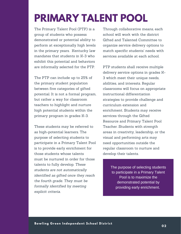### **PRIMARY TALENT POOL**

The Primary Talent Pool (PTP) is a group of students who possess demonstrated or potential ability to perform at exceptionally high levels in the primary years. Kentucky law mandates that students in K-3 who exhibit this potential and behaviors are informally selected for the PTP.

The PTP can include up to 25% of the primary student population between five categories of gifted potential. It is not a formal program, but rather a way for classroom teachers to highlight and nurture high potential students within the primary program in grades K-3.

These students may be referred to as high-potential learners. The purpose of selecting students to participate in a Primary Talent Pool is to provide early enrichment for those students whose talents must be nurtured in order for those talents to fully develop. *These students are not automatically identified as gifted once they reach the fourth grade. They must be formally identified by meeting explicit criteria.*

Through collaborative means, each school will work with the district Gifted and Talented Committee to organize service delivery options to match specific students' needs with services available at each school.

PTP students shall receive multiple delivery service options in grades K-3 which meet their unique needs, abilities, and interests. Regular classrooms will focus on appropriate instructional differentiation strategies to provide challenge and curriculum extension and enrichment. Students may receive services through the Gifted Resource and Primary Talent Pool Teacher. Students with strength areas in creativity, leadership, or the visual and performing arts may need opportunities outside the regular classroom to nurture and develop their talents.

> The purpose of selecting students to participate in a Primary Talent Pool is to maximize the demonstrated potential by providing early enrichment.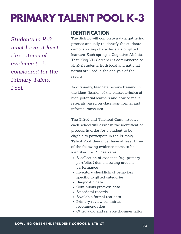## **PRIMARY TALENT POOL K-3**

*Students in K-3 must have at least three items of evidence to be considered for the Primary Talent Pool.*

#### **IDENTIFICATION**

The district will complete a data gathering process annually to identify the students demonstrating characteristics of gifted learners. Each spring, a Cognitive Abilities Test (CogAT) Screener is administered to all K-2 students. Both local and national norms are used in the analysis of the results.

Additionally, teachers receive training in the identification of the characteristics of high potential learners and how to make referrals based on classroom formal and informal measures.

The Gifted and Talented Committee at each school will assist in the identification process. In order for a student to be eligible to participate in the Primary Talent Pool, they must have at least three of the following evidence items to be identified for PTP services:

- A collection of evidence (e.g., primary portfolios) demonstrating student performance
- Inventory checklists of behaviors specific to gifted categories
- Diagnostic data
- Continuous progress data
- Anecdotal records
- Available formal test data
- Primary review committee recommendation
- Other valid and reliable documentation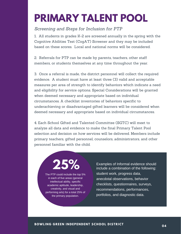### **PRIMARY TALENT POOL**

*Screening and Steps for Inclusion for PTP*

1. All students in grades K-2 are screened annually in the spring with the Cognitive Abilities Test (CogAT) Screener and they may be included based on these scores. Local and national norms will be considered.

2. Referrals for PTP can be made by parents, teachers, other staff members, or students themselves at any time throughout the year.

3. Once a referral is made, the district personnel will collect the required evidence. A student must have at least three (3) valid and acceptable measures per area of strength to identify behaviors which indicate a need and eligibility for service options. Special Considerations will be granted when deemed necessary and appropriate based on individual circumstances. A checklist inventories of behaviors specific to underachieving or disadvantaged gifted learners will be considered when deemed necessary and appropriate based on individual circumstances.

4. Each School Gifted and Talented Committee (SGTC) will meet to analyze all data and evidence to make the final Primary Talent Pool selection and decision on how services will be delivered. Members include primary teachers, gifted personnel, counselors, administrators, and other personnel familiar with the child.

**25%**

The PTP could include the top 5% in each of five areas (general intellectual ability, specific academic aptitude, leadership, creativity, and visual and performing arts) for a total 25% of the primary population.

include a combination of the following: student work, progress data, anecdotal observations, behavior checklists, questionnaires, surveys, recommendations, performances, portfolios, and diagnostic data. Examples of Informal evidence should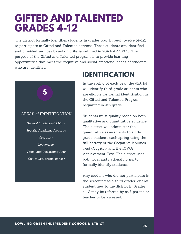### **GIFTED AND TALENTED GRADES 4-12**

The district formally identifies students in grades four through twelve (4-12) to participate in Gifted and Talented services. These students are identified and provided services based on criteria outlined in 704 KAR 3:285. The purpose of the Gifted and Talented program is to provide learning opportunities that meet the cognitive and social-emotional needs of students who are identified.



### **IDENTIFICATION**

In the spring of each year, the district will identify third grade students who are eligible for formal identification in the Gifted and Talented Program beginning in 4th grade.

Students must qualify based on both qualitative and quantitative evidence. The district will administer the quantitative assessments to all 3rd grade students each spring using the full battery of the Cognitive Abilities Test (CogAT), and the IOWA Achievement Test. The district uses both local and national norms to formally identify students. .

Any student who did not participate in the screening as a third grader, or any student new to the district in Grades 4-12 may be referred by self, parent, or teacher to be assessed.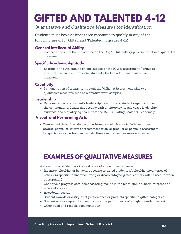### **GIFTED AND TALENTED 4-12**

#### *Quantitative and Qualitative Measures for Identification*

Students must have at least three measures to qualify in any of the following areas for Gifted and Talented in grades 4-12.

#### **General Intellectual Ability**

Composite score in the 9th stanine on the CogAT full battery plus two additional qualitative measures.

#### **Specific Academic Aptitude**

• Scoring in the 9th stanine on one subtest of the IOWA assessment (language arts, math, science and/or social studies), plus two additional qualitative measures.

#### **Creativity**

Demonstration of creativity through the Williams Assessment, plus two qualitative measures such as a creative work samples.

#### **Leadership**

Demonstration of a student's leadership roles in class, student organization and the community, a Leadership resume with an interview to showcase leadership evidence, and a qualifying score from the ROETS Rating Scale for Leadership.

#### **Visual and Performing Arts**

Determined through evidence of performance which may include auditions, awards, portfolios, letters of recommendation, or product or portfolio assessment by specialists or professional artists; three qualitative measures are needed.

### *Finally, spread the good word about* **EXAMPLES OF QUALITATIVE MEASURES**

*but with other employees! Provide the* A collection of student work as evidence of student performance

- Inventory checklist of behaviors specific to gifted students (A checklist inventories of *communication channels like the* behaviors specific to underachieving or disadvantaged gifted learners will be used in when appropriate.)
- *boost the morale of all working on the* Continuous progress data demonstrating results in the ninth stanine (norm reference of 96% and above)
- Anecdotal records
- Student awards or critiques of performance or products specific to gifted categories
- Student work samples that demonstrate the performance of a high potential student
- Other valid and reliable documentation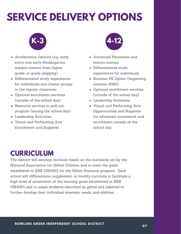## **SERVICE DELIVERY OPTIONS**



- Acceleration Options (e.g, early entry into early Kindergarten, subject content from higher grade, or grade skipping)
- Differentiated study experiences for individuals and cluster groups in the regular classroom
- Optional enrichment services (outside of the school day)
- Resource services in pull-out program (during the school day)
- Leadership Activities
- Visual and Performing Arts Enrichment and Supports



- Advanced Placement and honors courses
- Differentiated study experiences for individuals
- Summer PE Option (beginning summer 2020)
- Optional enrichment services (outside of the school day)
- Leadership Activities
- Visual and Performing Arts Opportunities and Supports for advanced coursework and enrichment outside of the school day

### **CURRICULUM**

*This early, plan how you will* high level of attainment of the learning goals established in KRS *manage changes to the project* 158.6451 and to assist students identified as gifted and talented to *scope, budget, or schedule with a change management plan. This* further develop their individual interests, needs, and abilities. The district will develop curricula based on the standards set by the National Association for Gifted Children and to meet the goals established in KRS 158.6451 for the Gifted Resource program. Each school will differentiate, supplement, or modify curricula to facilitate a